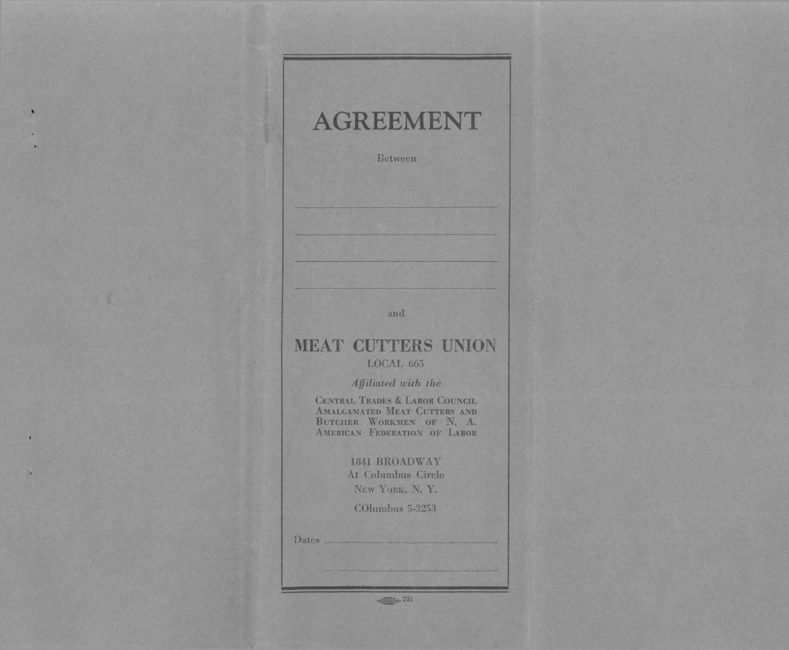# **AGREEMENT**

Between

and

## **MEAT CUTTERS UNION** LOCAL 665

Affiliated with the

CENTRAL TRADES & LABOR COUNCIL AMALGAMATED MEAT CUTTERS AND BUTCHER WORKMEN OF N. A.<br>AMERICAN FEDERATION OF LABOR

## 1841 BROADWAY At Columbus Circle

NEW YORK, N.Y.

COlumbus 5-3253

 $\bullet$ 

 $\sigma$ 

w

 $\frac{1}{\sqrt{2}}$  291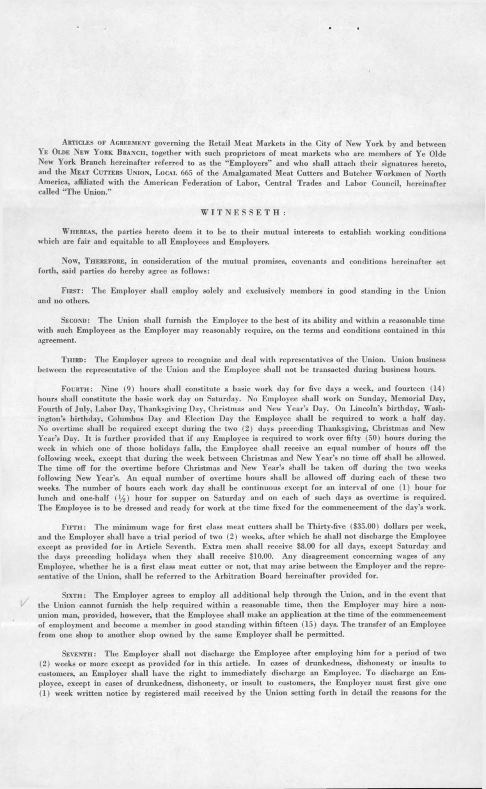ARTICLES OF AGREEMENT governing the Retail Meat Markets in the City of New York by and between YE OLDE NEW YORK BRANCH, together with such proprietors of meat markets who are members of Ye Olde New York Branch hereinafter referred to as the "Employers" and who shall attach their signatures hereto, and the MEAT CUTTERS UNION, LOCAL 665 of the Amalgamated Meat Cutters and Butcher Workmen of North America, affiliated with the American Federation of Labor, Central Trades and Labor Council, hereinafter called "The Union."

### WITNESSETH:

Whereas, the parties hereto deem it to be to their mutual interests to establish working conditions which are fair and equitable to all Employees and Employers.

Now, Therefore, in consideration of the mutual promises, covenants and conditions hereinafter set forth, said parties do hereby agree as follows:

FIRST: The Employer shall employ solely and exclusively members in good standing in the Union and no others.

Second: The Union shall furnish the Employer to the best of its ability and within a reasonable time with such Employees as the Employer may reasonably require, on the terms and conditions contained in this agreement.

Third: The Employer agrees to recognize and deal with representatives of the Union. Union business between the representative of the Union and the Employee shall not be transacted during business hours.

FOURTH: Nine (9) hours shall constitute a basic work day for five days a week, and fourteen (14) hours shall constitute the basic work day on Saturday. No Employee shall work on Sunday, Memorial Day, Fourth of July, Labor Day, Thanksgiving Day, Christmas and New Year's Day. On Lincoln's birthday, Washington's birthday, Columbus Day and Election Day the Employee shall be required to work a half day. No overtime shall be required except during the two (2) days preceding Thanksgiving, Christmas and New Year's Day. It is further provided that if any Employee is required to work over fifty (50) hours during the week in which one of those holidays falls, the Employee shall receive an equal number of hours off the following week, except that during the week between Christmas and New Year's no time off shall be allowed. The time off for the overtime before Christmas and New Year's shall be taken off during the two weeks following New Year's. An equal number of overtime hours shall be allowed off during each of these two weeks. The number of hours each work day shall be continuous except for an interval of one (1) hour for lunch and one-half  $(\frac{1}{2})$  hour for supper on Saturday and on each of such days as overtime is required. The Employee is to be dressed and ready for work at the time fixed for the commencement of the day's work.

FIFTH: The minimum wage for first class meat cutters shall be Thirty-five (\$35.00) dollars per week, and the Employer shall have a trial period of two (2) weeks, after which he shall not discharge the Employee except as provided for in Article Seventh. Extra men shall receive \$8.00 for all days, except Saturday and the days preceding holidays when they shall receive \$10.00. Any disagreement concerning wages of any Employee, whether he is a first class meat cutter or not, that may arise between the Employer and the representative of the Union, shall be referred to the Arbitration Board hereinafter provided for.

SIXTH: The Employer agrees to employ all additional help through the Union, and in the event that the Union cannot furnish the help required within a reasonable time, then the Employer may hire a nonunion man, provided, however, that the Employee shall make an application at the time of the commencement of employment and become a member in good standing within fifteen (15) days. The transfer of an Employee from one shop to another shop owned by the same Employer shall be permitted.

SEVENTH: The Employer shall not discharge the Employee after employing him for a period of two (2) weeks or more except as provided for in this article. In cases of drunkedness, dishonesty or insults to customers, an Employer shall have the right to immediately discharge an Employee. To discharge an Employee, except in cases of drunkedness, dishonesty, or insult to customers, the Employer must first give one (1) week written notice by registered mail received by the Union setting forth in detail the reasons for the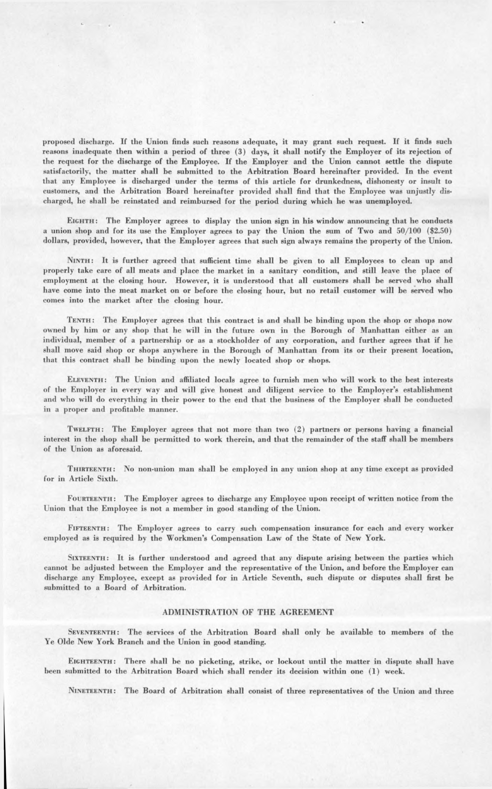proposed discharge. If the Union finds such reasons adequate, it may grant such request. If it finds such reasons inadequate then within a period of three (3) days, it shall notify the Employer of its rejection of the request for the discharge of the Employee. If the Employer and the Union cannot settle the dispute satisfactorily, the matter shall be submitted to the Arbitration Board hereinafter provided. In the event that any Employee is discharged under the terms of this article for drunkedness, dishonesty or insult to customers, and the Arbitration Board hereinafter provided shall find that the Employee was unjustly discharged, he shall be reinstated and reimbursed for the period during which he was unemployed.

EIGHTH: The Employer agrees to display the union sign in his window announcing that he conducts a union shop and for its use the Employer agrees to pay the Union the sum of Two and 50/100 (\$2.50) dollars, provided, however, that the Employer agrees that such sign always remains the property of the Union.

NINTH: It is further agreed that sufficient time shall be given to all Employees to clean up and properly take care of all meats and place the market in a sanitary condition, and still leave the place of employment at the closing hour. However, it is understood that all customers shall be served who shall have come into the meat market on or before the closing hour, but no retail customer will be served who comes into the market after the closing hour.

TENTH: The Employer agrees that this contract is and shall be binding upon the shop or shops now owned by him or any shop that he will in the future own in the Borough of Manhattan either as an individual, member of a partnership or as a stockholder of any corporation, and further agrees that if he shall move said shop or shops anywhere in the Borough of Manhattan from its or their present location, that this contract shall be binding upon the newly located shop or shops.

ELEVENTH: The Union and affiliated locals agree to furnish men who will work to the best interests of the Employer in every way and will give honest and diligent service to the Employer's establishment and who will do everything in their power to the end that the business of the Employer shall be conducted in a proper and profitable manner.

TWELFTH: The Employer agrees that not more than two (2) partners or persons having a financial interest in the shop shall be permitted to work therein, and that the remainder of the staff shall be members of the Union as aforesaid.

Thirteenth: No non-union man shall be employed in any union shop at any time except as provided for in Article Sixth.

FOURTEENTH: The Employer agrees to discharge any Employee upon receipt of written notice from the Union that the Employee is not a member in good standing of the Union.

Fifteenth: The Employer agrees to carry such compensation insurance for each and every worker employed as is required by the Workmen's Compensation Law of the State of New York.

SIXTEENTH: It is further understood and agreed that any dispute arising between the parties which cannot be adjusted between the Employer and the representative of the Union, and before the Employer can discharge any Employee, except as provided for in Article Seventh, such dispute or disputes shall first be submitted to a Board of Arbitration.

#### ADMINISTRATION OF THE AGREEMENT

SEVENTEENTH: The services of the Arbitration Board shall only be available to members of the Ye Olde New York Branch and the Union in good standing.

EIGHTEENTH: There shall be no picketing, strike, or lockout until the matter in dispute shall have been submitted to the Arbitration Board which shall render its decision within one (1) week.

NINETEENTH: The Board of Arbitration shall consist of three representatives of the Union and three